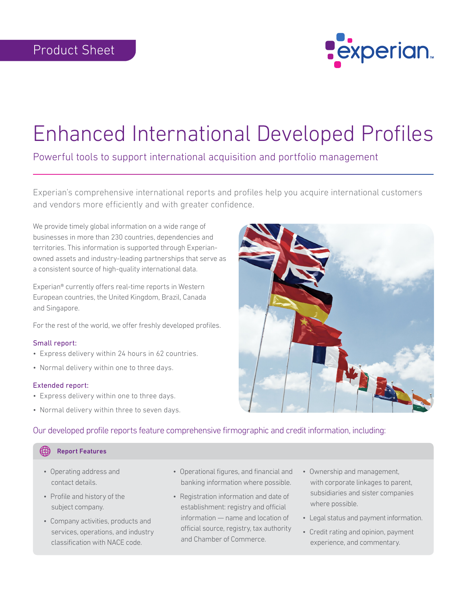

# Enhanced International Developed Profiles

Powerful tools to support international acquisition and portfolio management

Experian's comprehensive international reports and profiles help you acquire international customers and vendors more efficiently and with greater confidence.

We provide timely global information on a wide range of businesses in more than 230 countries, dependencies and territories. This information is supported through Experianowned assets and industry-leading partnerships that serve as a consistent source of high-quality international data.

Experian® currently offers real-time reports in Western European countries, the United Kingdom, Brazil, Canada and Singapore.

For the rest of the world, we offer freshly developed profiles.

#### Small report:

- Express delivery within 24 hours in 62 countries.
- Normal delivery within one to three days.

#### Extended report:

- Express delivery within one to three days.
- Normal delivery within three to seven days.



#### Our developed profile reports feature comprehensive firmographic and credit information, including:

#### Report Features

- Operating address and contact details.
- Profile and history of the subject company.
- Company activities, products and services, operations, and industry classification with NACE code.
- Operational figures, and financial and banking information where possible.
- Registration information and date of establishment: registry and official information — name and location of official source, registry, tax authority and Chamber of Commerce.
- Ownership and management, with corporate linkages to parent, subsidiaries and sister companies where possible.
- Legal status and payment information.
- Credit rating and opinion, payment experience, and commentary.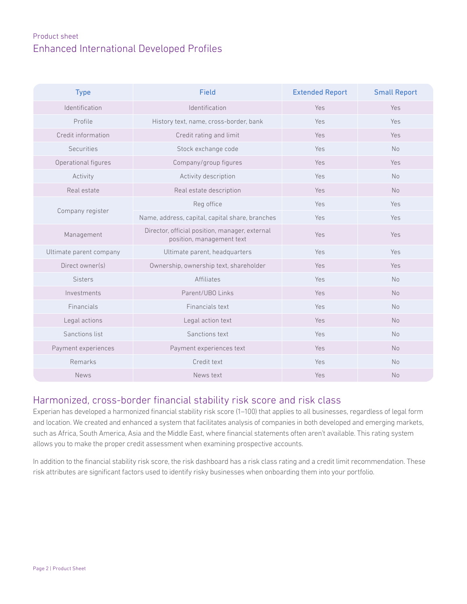## Product sheet Enhanced International Developed Profiles

| <b>Type</b>             | <b>Field</b>                                                                | <b>Extended Report</b> | <b>Small Report</b> |
|-------------------------|-----------------------------------------------------------------------------|------------------------|---------------------|
| Identification          | Identification                                                              | Yes                    | Yes                 |
| Profile                 | History text, name, cross-border, bank                                      | Yes                    | Yes                 |
| Credit information      | Credit rating and limit                                                     | Yes                    | Yes                 |
| <b>Securities</b>       | Stock exchange code                                                         | Yes                    | <b>No</b>           |
| Operational figures     | Company/group figures                                                       | Yes                    | Yes                 |
| Activity                | Activity description                                                        | Yes                    | <b>No</b>           |
| Real estate             | Real estate description                                                     | Yes                    | <b>No</b>           |
| Company register        | Reg office                                                                  | Yes                    | Yes                 |
|                         | Name, address, capital, capital share, branches                             | Yes                    | Yes                 |
| Management              | Director, official position, manager, external<br>position, management text | Yes                    | Yes                 |
| Ultimate parent company | Ultimate parent, headquarters                                               | Yes                    | Yes                 |
| Direct owner(s)         | Ownership, ownership text, shareholder                                      | Yes                    | Yes                 |
| <b>Sisters</b>          | <b>Affiliates</b>                                                           | Yes                    | <b>No</b>           |
| Investments             | Parent/UBO Links                                                            | Yes                    | <b>No</b>           |
| Financials              | Financials text                                                             | Yes                    | <b>No</b>           |
| Legal actions           | Legal action text                                                           | Yes                    | <b>No</b>           |
| Sanctions list          | Sanctions text                                                              | Yes                    | <b>No</b>           |
| Payment experiences     | Payment experiences text                                                    | Yes                    | <b>No</b>           |
| Remarks                 | Credit text                                                                 | Yes                    | <b>No</b>           |
| <b>News</b>             | News text                                                                   | Yes                    | <b>No</b>           |

### Harmonized, cross-border financial stability risk score and risk class

Experian has developed a harmonized financial stability risk score (1–100) that applies to all businesses, regardless of legal form and location. We created and enhanced a system that facilitates analysis of companies in both developed and emerging markets, such as Africa, South America, Asia and the Middle East, where financial statements often aren't available. This rating system allows you to make the proper credit assessment when examining prospective accounts.

In addition to the financial stability risk score, the risk dashboard has a risk class rating and a credit limit recommendation. These risk attributes are significant factors used to identify risky businesses when onboarding them into your portfolio.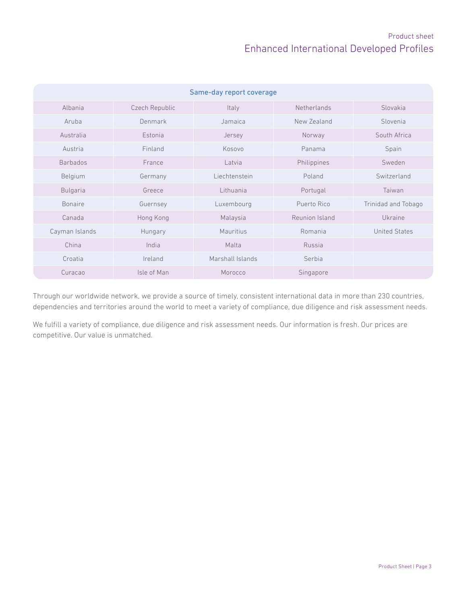## Product sheet Enhanced International Developed Profiles

| Same-day report coverage |                |                  |                |                      |  |
|--------------------------|----------------|------------------|----------------|----------------------|--|
| Albania                  | Czech Republic | Italy            | Netherlands    | Slovakia             |  |
| Aruba                    | Denmark        | Jamaica          | New Zealand    | Slovenia             |  |
| Australia                | Estonia        | Jersey           | Norway         | South Africa         |  |
| Austria                  | Finland        | Kosovo           | Panama         | Spain                |  |
| <b>Barbados</b>          | France         | Latvia           | Philippines    | Sweden               |  |
| Belgium                  | Germany        | Liechtenstein    | Poland         | Switzerland          |  |
| <b>Bulgaria</b>          | Greece         | Lithuania        | Portugal       | Taiwan               |  |
| <b>Bonaire</b>           | Guernsey       | Luxembourg       | Puerto Rico    | Trinidad and Tobago  |  |
| Canada                   | Hong Kong      | Malaysia         | Reunion Island | Ukraine              |  |
| Cayman Islands           | Hungary        | <b>Mauritius</b> | Romania        | <b>United States</b> |  |
| China                    | India          | Malta            | Russia         |                      |  |
| Croatia                  | Ireland        | Marshall Islands | Serbia         |                      |  |
| Curacao                  | Isle of Man    | Morocco          | Singapore      |                      |  |

Through our worldwide network, we provide a source of timely, consistent international data in more than 230 countries, dependencies and territories around the world to meet a variety of compliance, due diligence and risk assessment needs.

We fulfill a variety of compliance, due diligence and risk assessment needs. Our information is fresh. Our prices are competitive. Our value is unmatched.